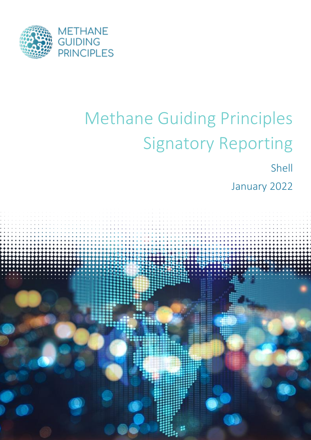

## Methane Guiding Principles Signatory Reporting

Shell

January 2022

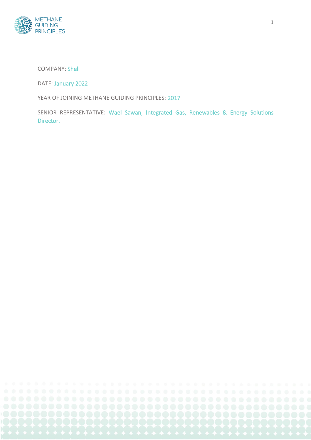

COMPANY: Shell

DATE: January 2022

YEAR OF JOINING METHANE GUIDING PRINCIPLES: 2017

SENIOR REPRESENTATIVE: Wael Sawan, Integrated Gas, Renewables & Energy Solutions Director.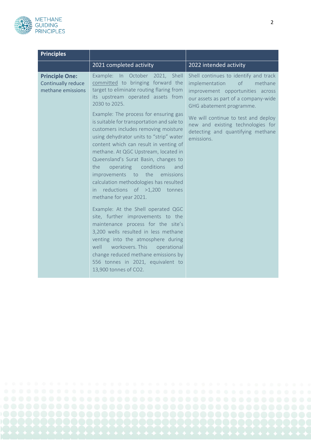

| <b>Principles</b>                                                |                                                                                                                                                                                                                                                                                                                                                                                                                                                                                                                                                                                                                                                           |                                                                                                                                                                                  |
|------------------------------------------------------------------|-----------------------------------------------------------------------------------------------------------------------------------------------------------------------------------------------------------------------------------------------------------------------------------------------------------------------------------------------------------------------------------------------------------------------------------------------------------------------------------------------------------------------------------------------------------------------------------------------------------------------------------------------------------|----------------------------------------------------------------------------------------------------------------------------------------------------------------------------------|
|                                                                  | 2021 completed activity                                                                                                                                                                                                                                                                                                                                                                                                                                                                                                                                                                                                                                   | 2022 intended activity                                                                                                                                                           |
| <b>Principle One:</b><br>Continually reduce<br>methane emissions | In October 2021, Shell<br>Example:<br>committed to bringing forward the<br>target to eliminate routing flaring from<br>its upstream operated assets from<br>2030 to 2025.                                                                                                                                                                                                                                                                                                                                                                                                                                                                                 | Shell continues to identify and track<br>implementation<br>of<br>methane<br>improvement opportunities across<br>our assets as part of a company-wide<br>GHG abatement programme. |
|                                                                  | Example: The process for ensuring gas<br>is suitable for transportation and sale to<br>customers includes removing moisture<br>using dehydrator units to "strip" water<br>content which can result in venting of<br>methane. At QGC Upstream, located in<br>Queensland's Surat Basin, changes to<br>operating<br>conditions<br>the<br>and<br>the<br>improvements<br>emissions<br>to<br>calculation methodologies has resulted<br>reductions of >1,200<br>tonnes<br>in.<br>methane for year 2021.<br>Example: At the Shell operated QGC<br>site, further improvements to the<br>maintenance process for the site's<br>3,200 wells resulted in less methane | We will continue to test and deploy<br>new and existing technologies for<br>detecting and quantifying methane<br>emissions.                                                      |
|                                                                  | venting into the atmosphere during<br>well<br>workovers. This<br>operational<br>change reduced methane emissions by<br>556 tonnes in 2021, equivalent to<br>13,900 tonnes of CO2.                                                                                                                                                                                                                                                                                                                                                                                                                                                                         |                                                                                                                                                                                  |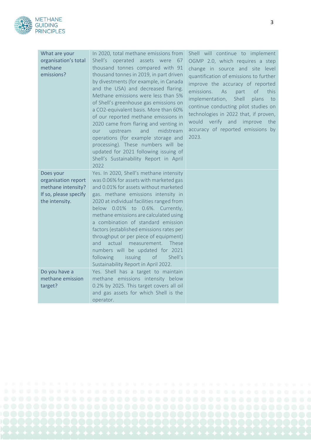

| What are your<br>organisation's total<br>methane<br>emissions?                                    | In 2020, total methane emissions from<br>Shell's operated assets were<br>67<br>thousand tonnes compared with 91<br>thousand tonnes in 2019, in part driven<br>by divestments (for example, in Canada<br>and the USA) and decreased flaring.<br>Methane emissions were less than 5%<br>of Shell's greenhouse gas emissions on<br>a CO2-equivalent basis. More than 60%<br>of our reported methane emissions in<br>2020 came from flaring and venting in<br>upstream<br>and<br>midstream<br>our<br>operations (for example storage and<br>processing). These numbers will be<br>updated for 2021 following issuing of<br>Shell's Sustainability Report in April<br>2022 | Shell will continue to implement<br>OGMP 2.0, which requires a step<br>change in source and site level<br>quantification of emissions to further<br>improve the accuracy of reported<br>emissions.<br><sub>of</sub><br>this<br>As<br>part<br>implementation,<br>Shell<br>plans<br>to<br>continue conducting pilot studies on<br>technologies in 2022 that, if proven,<br>would verify and improve the<br>accuracy of reported emissions by<br>2023. |
|---------------------------------------------------------------------------------------------------|-----------------------------------------------------------------------------------------------------------------------------------------------------------------------------------------------------------------------------------------------------------------------------------------------------------------------------------------------------------------------------------------------------------------------------------------------------------------------------------------------------------------------------------------------------------------------------------------------------------------------------------------------------------------------|-----------------------------------------------------------------------------------------------------------------------------------------------------------------------------------------------------------------------------------------------------------------------------------------------------------------------------------------------------------------------------------------------------------------------------------------------------|
| Does your<br>organisation report<br>methane intensity?<br>If so, please specify<br>the intensity. | Yes. In 2020, Shell's methane intensity<br>was 0.06% for assets with marketed gas<br>and 0.01% for assets without marketed<br>gas. methane emissions intensity in<br>2020 at individual facilities ranged from<br>below 0.01% to 0.6%. Currently,<br>methane emissions are calculated using<br>a combination of standard emission<br>factors (established emissions rates per<br>throughput or per piece of equipment)<br>actual measurement. These<br>and<br>numbers will be updated for 2021<br>following<br>issuing<br>of<br>Shell's<br>Sustainability Report in April 2022.                                                                                       |                                                                                                                                                                                                                                                                                                                                                                                                                                                     |
| Do you have a<br>methane emission<br>target?                                                      | Yes. Shell has a target to maintain<br>methane emissions intensity below<br>0.2% by 2025. This target covers all oil<br>and gas assets for which Shell is the<br>operator.                                                                                                                                                                                                                                                                                                                                                                                                                                                                                            |                                                                                                                                                                                                                                                                                                                                                                                                                                                     |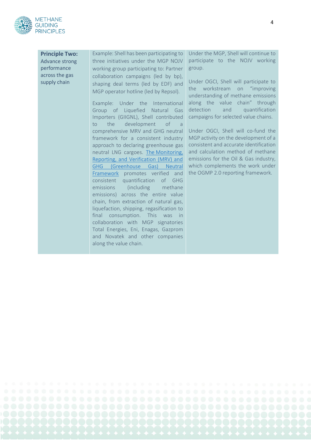

**Principle Two:**  Advance strong performance across the gas supply chain

Example: Shell has been participating to three initiatives under the MGP NOJV working group participating to: Partner collaboration campaigns (led by bp), shaping deal terms (led by EDF) and MGP operator hotline (led by Repsol).

Example: Under the International Group of Liquefied Natural Gas Importers (GIIGNL), Shell contributed to the development of a comprehensive MRV and GHG neutral framework for a consistent industry approach to declaring greenhouse gas neutral LNG cargoes. The [Monitoring,](https://giignl.org/wp-content/uploads/2021/11/MRV-and-GHG-Neutral-Framework.pdf)  [Reporting, and Verification \(MRV\) and](https://giignl.org/wp-content/uploads/2021/11/MRV-and-GHG-Neutral-Framework.pdf)  [GHG \(Greenhouse Gas\) Neutral](https://giignl.org/wp-content/uploads/2021/11/MRV-and-GHG-Neutral-Framework.pdf)  [Framework](https://giignl.org/wp-content/uploads/2021/11/MRV-and-GHG-Neutral-Framework.pdf) promotes verified and consistent quantification of GHG emissions (including methane emissions) across the entire value chain, from extraction of natural gas, liquefaction, shipping, regasification to final consumption. This was in collaboration with MGP signatories Total Energies, Eni, Enagas, Gazprom and Novatek and other companies along the value chain.

Under the MGP, Shell will continue to participate to the NOJV working group.

Under OGCI, Shell will participate to the workstream on "improving understanding of methane emissions along the value chain" through detection and quantification campaigns for selected value chains.

Under OGCI, Shell will co-fund the MGP activity on the development of a consistent and accurate identification and calculation method of methane emissions for the Oil & Gas industry, which complements the work under the OGMP 2.0 reporting framework.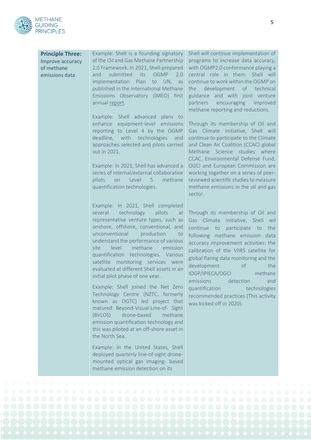

**Principle Three:**  Improve accuracy of methane emissions data Example: Shell is a founding signatory of the Oil and Gas Methane Partnership 2.0 Framework. In 2021, Shell prepared

and submitted its OGMP 2.0 Implementation Plan to UN, as published in the International Methane Emissions Observatory (IMEO) first annual [report.](https://www.unep.org/resources/report/eye-methane-international-methane-emissions-observatory-2021-report)

Example: Shell advanced plans to enhance equipment-level emissions reporting to Level 4 by the OGMP deadline, with technologies and approaches selected and pilots carried out in 2021.

Example: In 2021, Shell has advanced a series of internal/external collaborative pilots on Level 5 methane quantification technologies.

Example: In 2021, Shell completed several technology pilots at representative venture types, such as onshore, offshore, conventional, and unconventional production to understand the performance of various site level methane emission quantification technologies. Various satellite monitoring services were evaluated at different Shell assets in an initial pilot phase of one year.

Example: Shell joined the Net Zero Technology Centre (NZTC, formerly known as OGTC) led project that matured Beyond‐Visual‐Line‐of‐ Sight (BVLOS) drone‐based methane emission quantification technology and this was piloted at an off‐shore asset in the North Sea.

Example: In the United States, Shell deployed quarterly line‐of‐sight drone‐ mounted optical gas imaging‐ based methane emission detection on its

Shell will continue implementation of programs to increase data accuracy, with OGMP2.0 conformance playing a central role in them. Shell will continue to work within the OGMP on the development of technical guidance and with joint venture partners encouraging improved methane reporting and reductions.

Through its membership of Oil and Gas Climate Initiative, Shell will continue to participate to the Climate and Clean Air Coalition (CCAC) global Methane Science studies where CCAC, Environmental Defense Fund, OGCI and European Commission are working together on a series of peerreviewed scientific studies to measure methane emissions in the oil and gas sector.

Through its membership of Oil and Gas Climate Initiative, Shell wil continue to participate to the following methane emission data accuracy improvement activities: the calibration of the VIIRS satellite for global flaring data monitoring and the development of the IOGP/IPIECA/OGCI methane emissions detection and quantification technologies recommended practices (This activity was kicked off in 2020).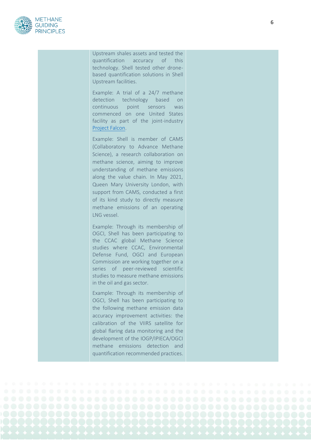

Upstream shales assets and tested the quantification accuracy of this technology. Shell tested other drone based quantification solutions in Shell Upstream facilities.

Example: A trial of a 24/7 methane detection technology based on continuous point sensors was commenced on one United States facility as part of the joint-industry [Project Falcon.](http://www.scientificaviation.com/major-energy-companies-join-forces-to-battle-methane-emissions/)

Example: Shell is member of CAMS (Collaboratory to Advance Methane Science), a research collaboration on methane science, aiming to improve understanding of methane emissions along the value chain. In May 2021, Queen Mary University London, with support from CAMS, conducted a first of its kind study to directly measure methane emissions of an operating LNG vessel.

Example: Through its membership of OGCI, Shell has been participating to the CCAC global Methane Science studies where CCAC, Environmental Defense Fund, OGCI and European Commission are working together on a series of peer -reviewed scientific studies to measure methane emissions in the oil and gas sector.

Example: Through its membership of OGCI, Shell has been participating to the following methane emission data accuracy improvement activities: the calibration of the VIIRS satellite for global flaring data monitoring and the development of the IOGP/IPIECA/OGCI methane emissions detection and quantification recommended practices.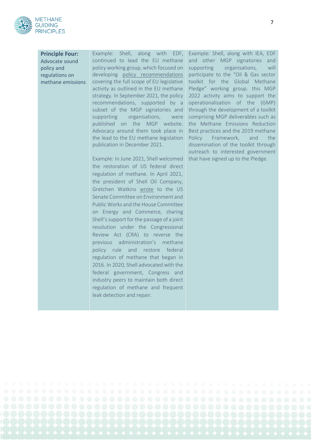

**Principle Four:** Advocate sound policy and regulations on methane emissions Example: Shell, along with EDF, continued to lead the EU methane policy working group, which focused on developing [policy recommendations](https://methaneguidingprinciples.org/eu-methane-policy/) covering the full scope of EU legislative activity as outlined in the EU methane strategy. In September 2021, the policy recommendations, supported by a subset of the MGP signatories and supporting organisations, were published on the MGP website. Advocacy around them took place in the lead to the EU methane legislation publication in December 2021.

Example: In June 2021, Shell welcomed the restoration of US federal direct regulation of methane. In April 2021, the president of Shell Oil Company, Gretchen Watkins [wrote](https://www.shell.com/sustainability/transparency-and-sustainability-reporting/advocacy-and-political-activity/advocacy-releases/_jcr_content/par/tabbedcontent/tab_902116744/textimage.stream/1635257040339/50054e7e9489cdaebae588db2c02ab1af2c84fcf/shell-letter-on-methane-april-2021.pdf) to the US Senate Committee on Environment and Public Works and the House Committee on Energy and Commerce, sharing Shell's support for the passage of a joint resolution under the Congressional Review Act (CRA) to reverse the previous administration's methane policy rule and restore federal regulation of methane that began in 2016. In 2020, Shell advocated with the federal government, Congress and industry peers to maintain both direct regulation of methane and frequent leak detection and repair.

Example: Shell, along with IEA, EDF and other MGP signatories and supporting organisations, will participate to the "Oil & Gas sector toolkit for the Global Methane Pledge" working group. this MGP 2022 activity aims to support the operationalisation of the (GMP) through the development of a toolkit comprising MGP deliverables such as the Methane Emissions Reduction Best practices and the 2019 methane Policy Framework, and the dissemination of the toolkit through outreach to interested government that have signed up to the Pledge.